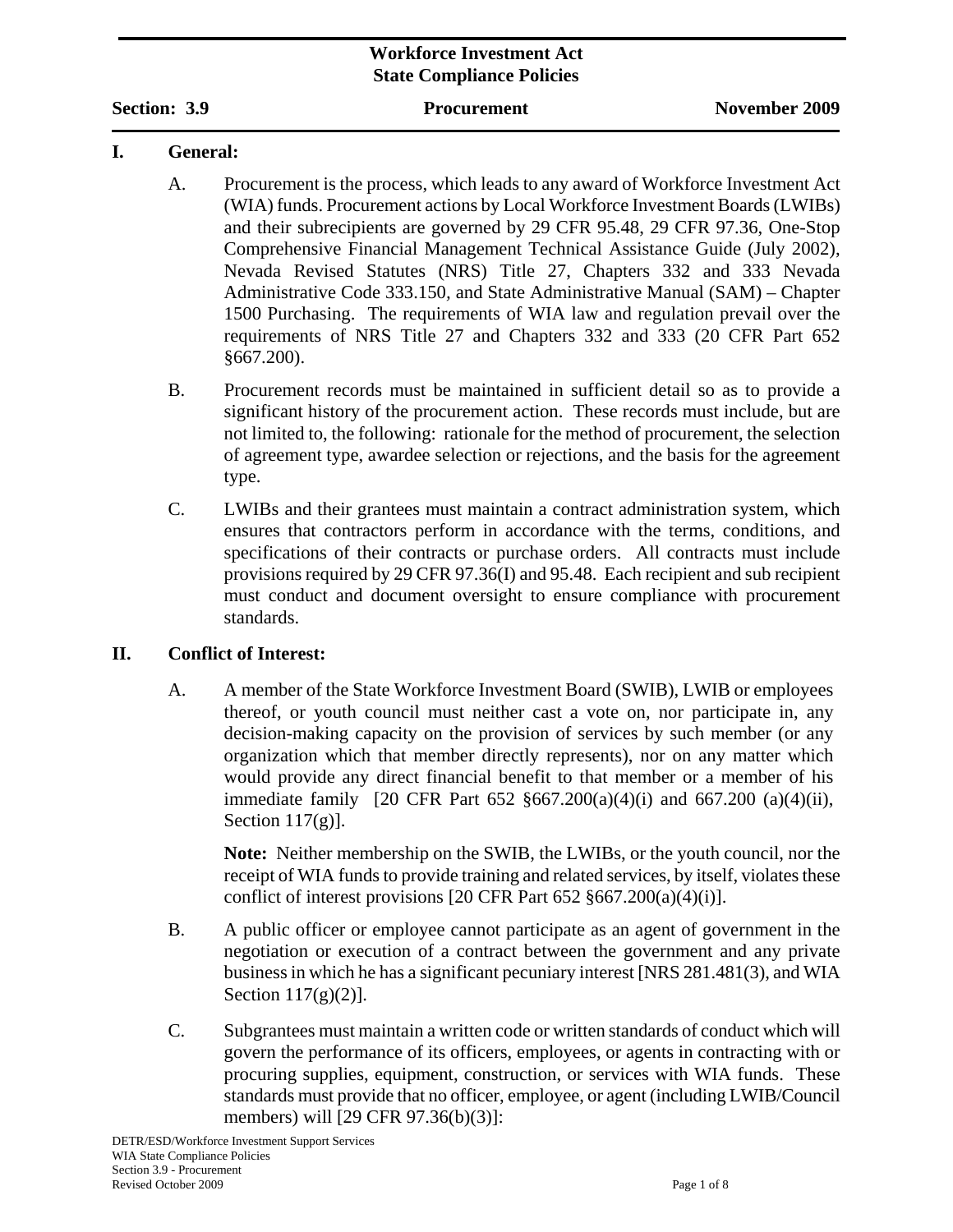### **Workforce Investment Act State Compliance Policies**

**Section: 3.9 Procurement November 2009** 

#### **I. General:**

- A. Procurement is the process, which leads to any award of Workforce Investment Act (WIA) funds. Procurement actions by Local Workforce Investment Boards (LWIBs) and their subrecipients are governed by 29 CFR 95.48, 29 CFR 97.36, One-Stop Comprehensive Financial Management Technical Assistance Guide (July 2002), Nevada Revised Statutes (NRS) Title 27, Chapters 332 and 333 Nevada Administrative Code 333.150*,* and State Administrative Manual (SAM) – Chapter 1500 Purchasing. The requirements of WIA law and regulation prevail over the requirements of NRS Title 27 and Chapters 332 and 333 (20 CFR Part 652 §667.200).
- B. Procurement records must be maintained in sufficient detail so as to provide a significant history of the procurement action. These records must include, but are not limited to, the following: rationale for the method of procurement, the selection of agreement type, awardee selection or rejections, and the basis for the agreement type.
- C. LWIBs and their grantees must maintain a contract administration system, which ensures that contractors perform in accordance with the terms, conditions, and specifications of their contracts or purchase orders. All contracts must include provisions required by 29 CFR 97.36(I) and 95.48. Each recipient and sub recipient must conduct and document oversight to ensure compliance with procurement standards.

## **II. Conflict of Interest:**

A. A member of the State Workforce Investment Board (SWIB), LWIB or employees thereof, or youth council must neither cast a vote on, nor participate in, any decision-making capacity on the provision of services by such member (or any organization which that member directly represents), nor on any matter which would provide any direct financial benefit to that member or a member of his immediate family [20 CFR Part 652 §667.200(a)(4)(i) and 667.200 (a)(4)(ii), Section 117(g)].

**Note:** Neither membership on the SWIB, the LWIBs, or the youth council, nor the receipt of WIA funds to provide training and related services, by itself, violates these conflict of interest provisions [20 CFR Part 652 §667.200(a)(4)(i)].

- B. A public officer or employee cannot participate as an agent of government in the negotiation or execution of a contract between the government and any private business in which he has a significant pecuniary interest [NRS 281.481(3), and WIA Section  $117(g)(2)$ ].
- C. Subgrantees must maintain a written code or written standards of conduct which will govern the performance of its officers, employees, or agents in contracting with or procuring supplies, equipment, construction, or services with WIA funds. These standards must provide that no officer, employee, or agent (including LWIB/Council members) will [29 CFR 97.36(b)(3)]: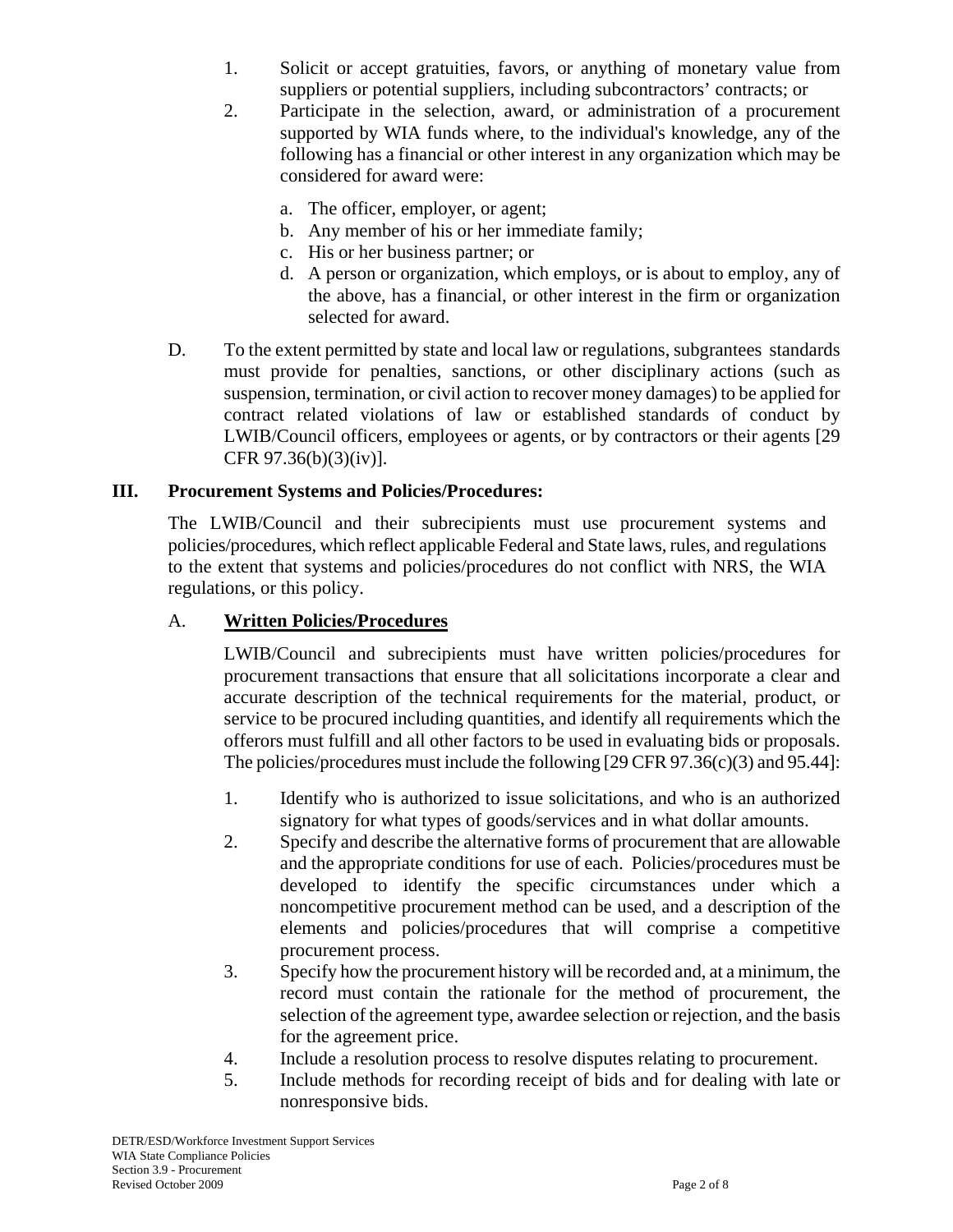- 1. Solicit or accept gratuities, favors, or anything of monetary value from suppliers or potential suppliers, including subcontractors' contracts; or
- 2. Participate in the selection, award, or administration of a procurement supported by WIA funds where, to the individual's knowledge, any of the following has a financial or other interest in any organization which may be considered for award were:
	- a. The officer, employer, or agent;
	- b. Any member of his or her immediate family;
	- c. His or her business partner; or
	- d. A person or organization, which employs, or is about to employ, any of the above, has a financial, or other interest in the firm or organization selected for award.
- D. To the extent permitted by state and local law or regulations, subgrantees standards must provide for penalties, sanctions, or other disciplinary actions (such as suspension, termination, or civil action to recover money damages) to be applied for contract related violations of law or established standards of conduct by LWIB/Council officers, employees or agents, or by contractors or their agents [29 CFR 97.36(b)(3)(iv)].

## **III. Procurement Systems and Policies/Procedures:**

The LWIB/Council and their subrecipients must use procurement systems and policies/procedures, which reflect applicable Federal and State laws, rules, and regulations to the extent that systems and policies/procedures do not conflict with NRS, the WIA regulations, or this policy.

## A. **Written Policies/Procedures**

LWIB/Council and subrecipients must have written policies/procedures for procurement transactions that ensure that all solicitations incorporate a clear and accurate description of the technical requirements for the material, product, or service to be procured including quantities, and identify all requirements which the offerors must fulfill and all other factors to be used in evaluating bids or proposals. The policies/procedures must include the following [29 CFR 97.36(c)(3) and 95.44]:

- 1. Identify who is authorized to issue solicitations, and who is an authorized signatory for what types of goods/services and in what dollar amounts.
- 2. Specify and describe the alternative forms of procurement that are allowable and the appropriate conditions for use of each. Policies/procedures must be developed to identify the specific circumstances under which a noncompetitive procurement method can be used, and a description of the elements and policies/procedures that will comprise a competitive procurement process.
- 3. Specify how the procurement history will be recorded and, at a minimum, the record must contain the rationale for the method of procurement, the selection of the agreement type, awardee selection or rejection, and the basis for the agreement price.
- 4. Include a resolution process to resolve disputes relating to procurement.
- 5. Include methods for recording receipt of bids and for dealing with late or nonresponsive bids.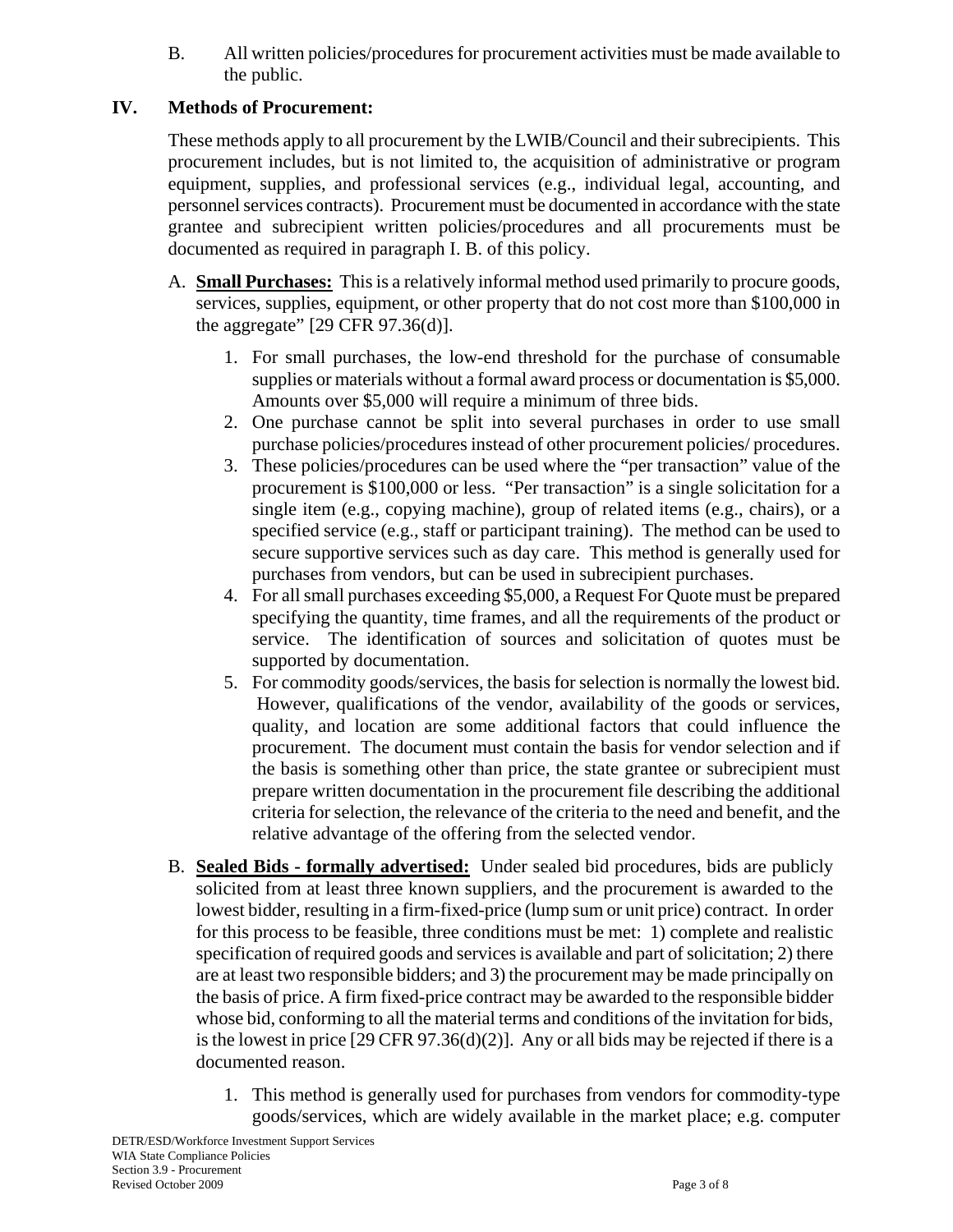B. All written policies/procedures for procurement activities must be made available to the public.

## **IV. Methods of Procurement:**

These methods apply to all procurement by the LWIB/Council and their subrecipients. This procurement includes, but is not limited to, the acquisition of administrative or program equipment, supplies, and professional services (e.g., individual legal, accounting, and personnel services contracts). Procurement must be documented in accordance with the state grantee and subrecipient written policies/procedures and all procurements must be documented as required in paragraph I. B. of this policy.

- A. **Small Purchases:** This is a relatively informal method used primarily to procure goods, services, supplies, equipment, or other property that do not cost more than \$100,000 in the aggregate" [29 CFR 97.36(d)].
	- 1. For small purchases, the low-end threshold for the purchase of consumable supplies or materials without a formal award process or documentation is \$5,000. Amounts over \$5,000 will require a minimum of three bids.
	- 2. One purchase cannot be split into several purchases in order to use small purchase policies/procedures instead of other procurement policies/ procedures.
	- 3. These policies/procedures can be used where the "per transaction" value of the procurement is \$100,000 or less. "Per transaction" is a single solicitation for a single item (e.g., copying machine), group of related items (e.g., chairs), or a specified service (e.g., staff or participant training). The method can be used to secure supportive services such as day care. This method is generally used for purchases from vendors, but can be used in subrecipient purchases.
	- 4. For all small purchases exceeding \$5,000, a Request For Quote must be prepared specifying the quantity, time frames, and all the requirements of the product or service. The identification of sources and solicitation of quotes must be supported by documentation.
	- 5. For commodity goods/services, the basis for selection is normally the lowest bid. However, qualifications of the vendor, availability of the goods or services, quality, and location are some additional factors that could influence the procurement. The document must contain the basis for vendor selection and if the basis is something other than price, the state grantee or subrecipient must prepare written documentation in the procurement file describing the additional criteria for selection, the relevance of the criteria to the need and benefit, and the relative advantage of the offering from the selected vendor.
- B. **Sealed Bids formally advertised:** Under sealed bid procedures, bids are publicly solicited from at least three known suppliers, and the procurement is awarded to the lowest bidder, resulting in a firm-fixed-price (lump sum or unit price) contract. In order for this process to be feasible, three conditions must be met: 1) complete and realistic specification of required goods and services is available and part of solicitation; 2) there are at least two responsible bidders; and 3) the procurement may be made principally on the basis of price. A firm fixed-price contract may be awarded to the responsible bidder whose bid, conforming to all the material terms and conditions of the invitation for bids, is the lowest in price [29 CFR 97.36(d)(2)]. Any or all bids may be rejected if there is a documented reason.
	- 1. This method is generally used for purchases from vendors for commodity-type goods/services, which are widely available in the market place; e.g. computer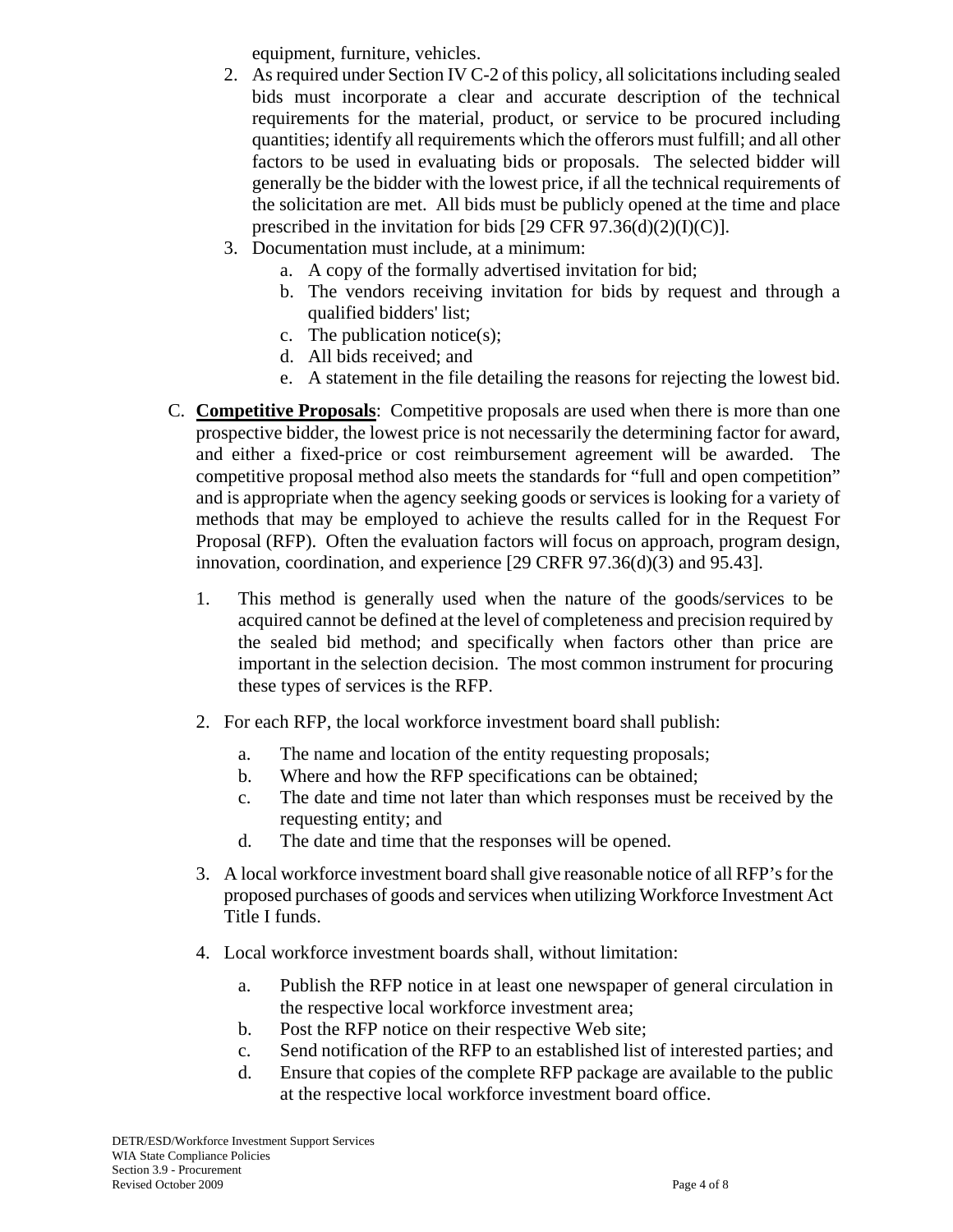equipment, furniture, vehicles.

- 2. As required under Section IV C-2 of this policy, all solicitations including sealed bids must incorporate a clear and accurate description of the technical requirements for the material, product, or service to be procured including quantities; identify all requirements which the offerors must fulfill; and all other factors to be used in evaluating bids or proposals. The selected bidder will generally be the bidder with the lowest price, if all the technical requirements of the solicitation are met. All bids must be publicly opened at the time and place prescribed in the invitation for bids  $[29 \text{ CFR } 97.36(d)(2)(I)(C)].$
- 3. Documentation must include, at a minimum:
	- a. A copy of the formally advertised invitation for bid;
	- b. The vendors receiving invitation for bids by request and through a qualified bidders' list;
	- c. The publication notice(s);
	- d. All bids received; and
	- e. A statement in the file detailing the reasons for rejecting the lowest bid.
- C. **Competitive Proposals**: Competitive proposals are used when there is more than one prospective bidder, the lowest price is not necessarily the determining factor for award, and either a fixed-price or cost reimbursement agreement will be awarded. The competitive proposal method also meets the standards for "full and open competition" and is appropriate when the agency seeking goods or services is looking for a variety of methods that may be employed to achieve the results called for in the Request For Proposal (RFP). Often the evaluation factors will focus on approach, program design, innovation, coordination, and experience [29 CRFR 97.36(d)(3) and 95.43].
	- 1. This method is generally used when the nature of the goods/services to be acquired cannot be defined at the level of completeness and precision required by the sealed bid method; and specifically when factors other than price are important in the selection decision. The most common instrument for procuring these types of services is the RFP.
	- 2. For each RFP, the local workforce investment board shall publish:
		- a. The name and location of the entity requesting proposals;
		- b. Where and how the RFP specifications can be obtained;
		- c. The date and time not later than which responses must be received by the requesting entity; and
		- d. The date and time that the responses will be opened.
	- 3. A local workforce investment board shall give reasonable notice of all RFP's for the proposed purchases of goods and services when utilizing Workforce Investment Act Title I funds.
	- 4. Local workforce investment boards shall, without limitation:
		- a. Publish the RFP notice in at least one newspaper of general circulation in the respective local workforce investment area;
		- b. Post the RFP notice on their respective Web site;
		- c. Send notification of the RFP to an established list of interested parties; and
		- d. Ensure that copies of the complete RFP package are available to the public at the respective local workforce investment board office.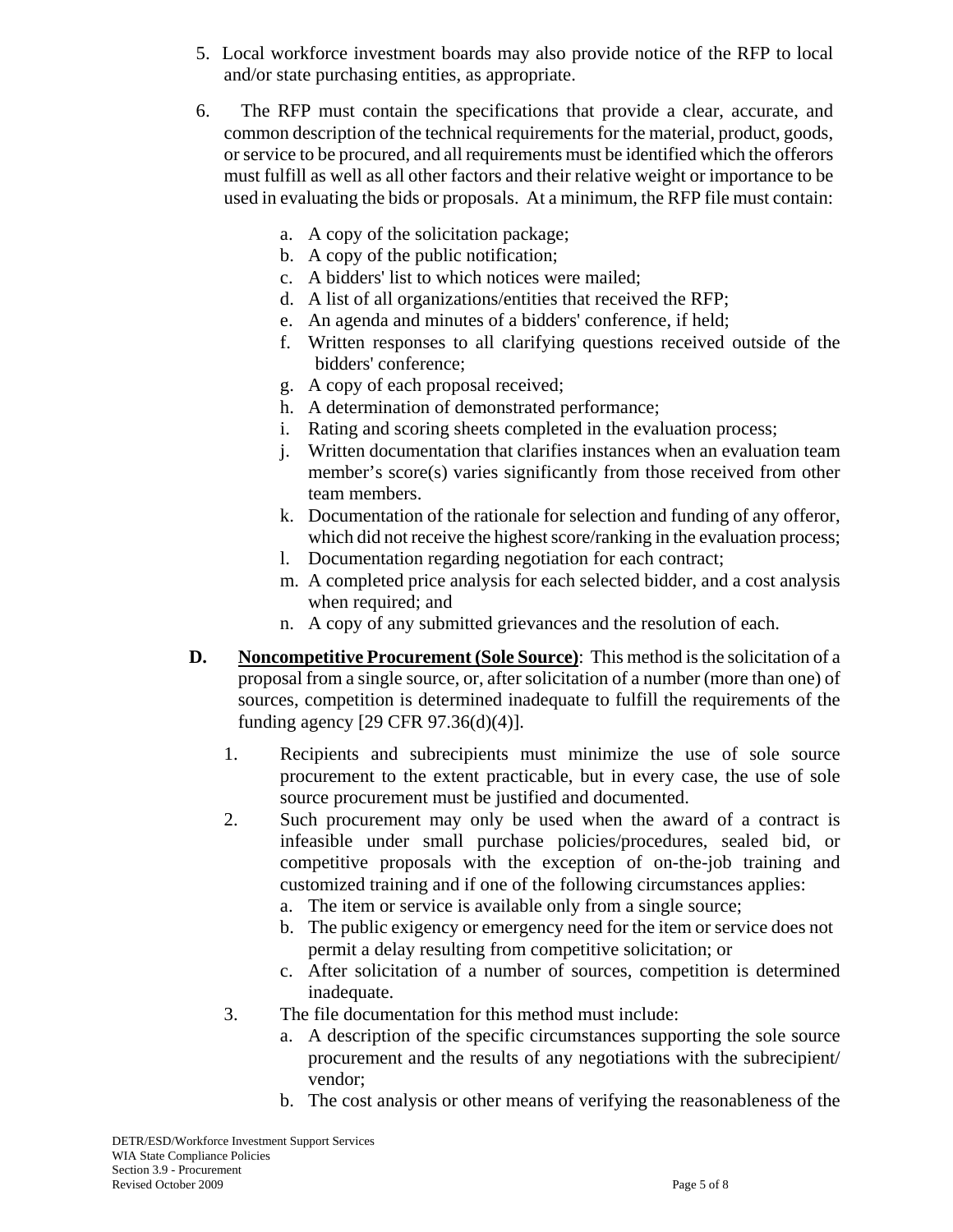- 5. Local workforce investment boards may also provide notice of the RFP to local and/or state purchasing entities, as appropriate.
- 6. The RFP must contain the specifications that provide a clear, accurate, and common description of the technical requirements for the material, product, goods, or service to be procured, and all requirements must be identified which the offerors must fulfill as well as all other factors and their relative weight or importance to be used in evaluating the bids or proposals. At a minimum, the RFP file must contain:
	- a. A copy of the solicitation package;
	- b. A copy of the public notification;
	- c. A bidders' list to which notices were mailed;
	- d. A list of all organizations/entities that received the RFP;
	- e. An agenda and minutes of a bidders' conference, if held;
	- f. Written responses to all clarifying questions received outside of the bidders' conference;
	- g. A copy of each proposal received;
	- h. A determination of demonstrated performance;
	- i. Rating and scoring sheets completed in the evaluation process;
	- j. Written documentation that clarifies instances when an evaluation team member's score(s) varies significantly from those received from other team members.
	- k. Documentation of the rationale for selection and funding of any offeror, which did not receive the highest score/ranking in the evaluation process;
	- l. Documentation regarding negotiation for each contract;
	- m. A completed price analysis for each selected bidder, and a cost analysis when required; and
	- n. A copy of any submitted grievances and the resolution of each.
- **D. Noncompetitive Procurement (Sole Source)**: This method is the solicitation of a proposal from a single source, or, after solicitation of a number (more than one) of sources, competition is determined inadequate to fulfill the requirements of the funding agency [29 CFR 97.36(d)(4)].
	- 1. Recipients and subrecipients must minimize the use of sole source procurement to the extent practicable, but in every case, the use of sole source procurement must be justified and documented.
	- 2. Such procurement may only be used when the award of a contract is infeasible under small purchase policies/procedures, sealed bid, or competitive proposals with the exception of on-the-job training and customized training and if one of the following circumstances applies:
		- a. The item or service is available only from a single source;
		- b. The public exigency or emergency need for the item or service does not permit a delay resulting from competitive solicitation; or
		- c. After solicitation of a number of sources, competition is determined inadequate.
	- 3. The file documentation for this method must include:
		- a. A description of the specific circumstances supporting the sole source procurement and the results of any negotiations with the subrecipient/ vendor;
		- b. The cost analysis or other means of verifying the reasonableness of the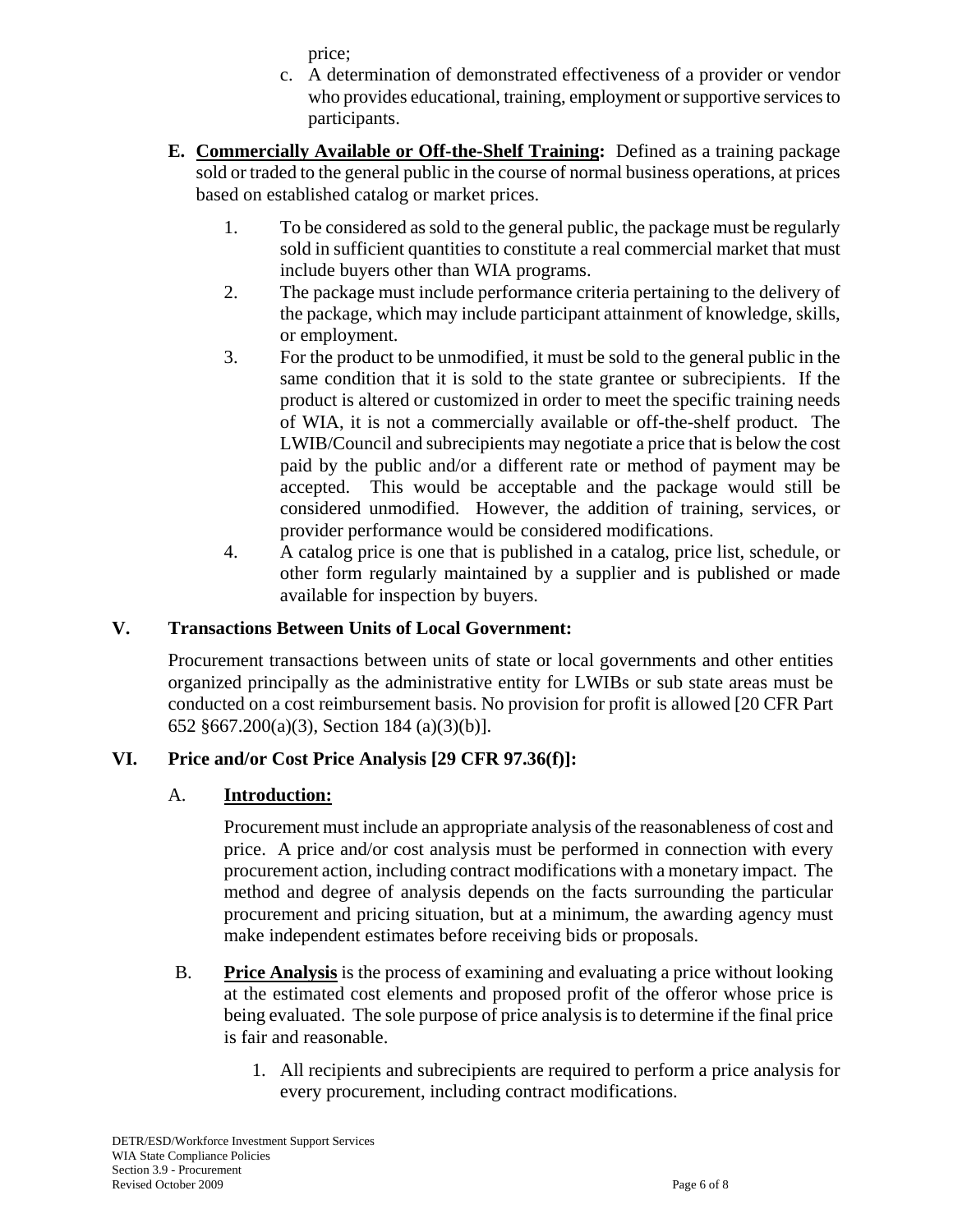price;

- c. A determination of demonstrated effectiveness of a provider or vendor who provides educational, training, employment or supportive services to participants.
- **E. Commercially Available or Off-the-Shelf Training:** Defined as a training package sold or traded to the general public in the course of normal business operations, at prices based on established catalog or market prices.
	- 1. To be considered as sold to the general public, the package must be regularly sold in sufficient quantities to constitute a real commercial market that must include buyers other than WIA programs.
	- 2. The package must include performance criteria pertaining to the delivery of the package, which may include participant attainment of knowledge, skills, or employment.
	- 3. For the product to be unmodified, it must be sold to the general public in the same condition that it is sold to the state grantee or subrecipients. If the product is altered or customized in order to meet the specific training needs of WIA, it is not a commercially available or off-the-shelf product. The LWIB/Council and subrecipients may negotiate a price that is below the cost paid by the public and/or a different rate or method of payment may be accepted. This would be acceptable and the package would still be considered unmodified. However, the addition of training, services, or provider performance would be considered modifications.
	- 4. A catalog price is one that is published in a catalog, price list, schedule, or other form regularly maintained by a supplier and is published or made available for inspection by buyers.

# **V. Transactions Between Units of Local Government:**

Procurement transactions between units of state or local governments and other entities organized principally as the administrative entity for LWIBs or sub state areas must be conducted on a cost reimbursement basis. No provision for profit is allowed [20 CFR Part 652 §667.200(a)(3), Section 184 (a)(3)(b)].

# **VI. Price and/or Cost Price Analysis [29 CFR 97.36(f)]:**

# A. **Introduction:**

Procurement must include an appropriate analysis of the reasonableness of cost and price. A price and/or cost analysis must be performed in connection with every procurement action, including contract modifications with a monetary impact. The method and degree of analysis depends on the facts surrounding the particular procurement and pricing situation, but at a minimum, the awarding agency must make independent estimates before receiving bids or proposals.

- B. **Price Analysis** is the process of examining and evaluating a price without looking at the estimated cost elements and proposed profit of the offeror whose price is being evaluated. The sole purpose of price analysis is to determine if the final price is fair and reasonable.
	- 1. All recipients and subrecipients are required to perform a price analysis for every procurement, including contract modifications.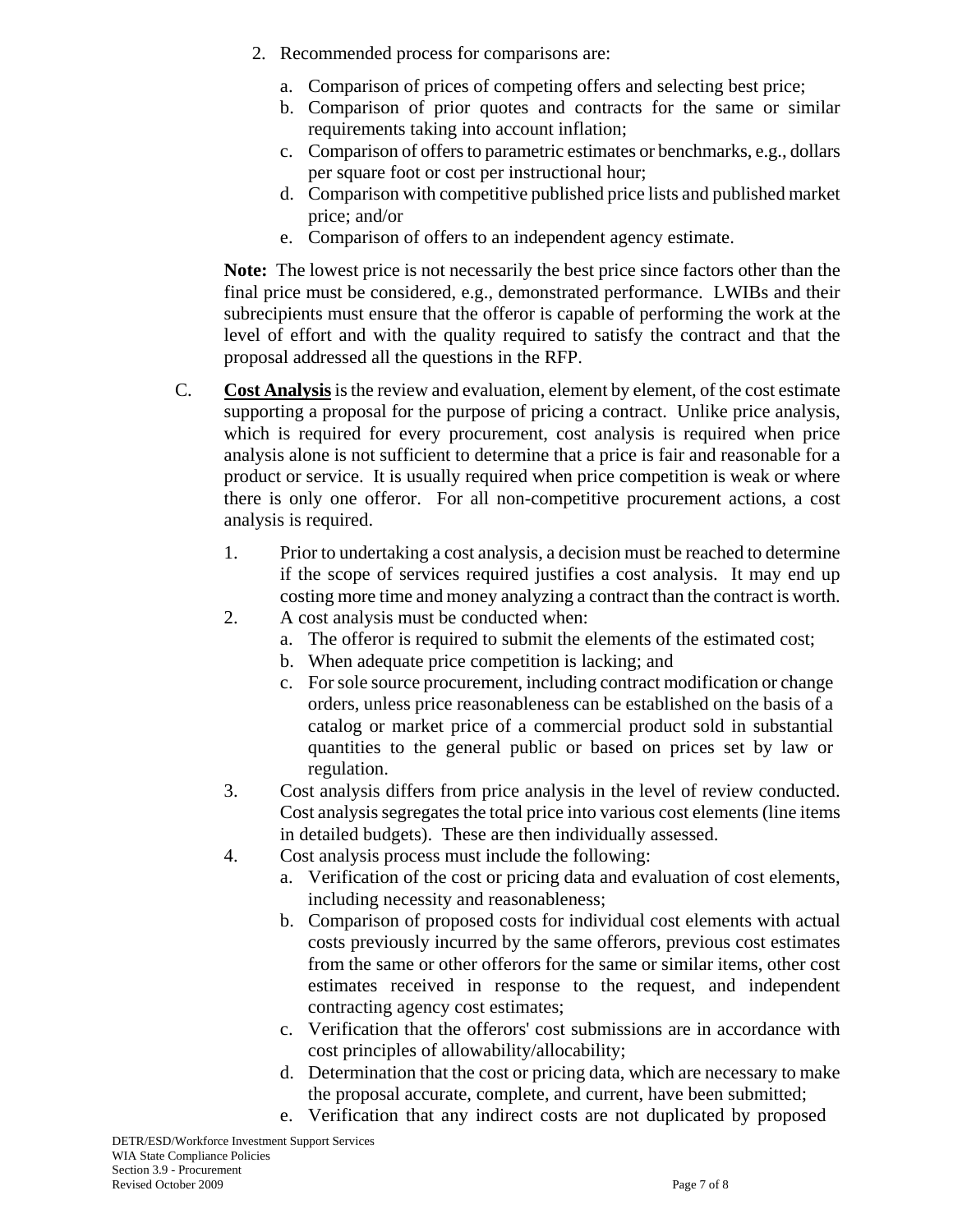- 2. Recommended process for comparisons are:
	- a. Comparison of prices of competing offers and selecting best price;
	- b. Comparison of prior quotes and contracts for the same or similar requirements taking into account inflation;
	- c. Comparison of offers to parametric estimates or benchmarks, e.g., dollars per square foot or cost per instructional hour;
	- d. Comparison with competitive published price lists and published market price; and/or
	- e. Comparison of offers to an independent agency estimate.

**Note:** The lowest price is not necessarily the best price since factors other than the final price must be considered, e.g., demonstrated performance. LWIBs and their subrecipients must ensure that the offeror is capable of performing the work at the level of effort and with the quality required to satisfy the contract and that the proposal addressed all the questions in the RFP.

- C. **Cost Analysis** is the review and evaluation, element by element, of the cost estimate supporting a proposal for the purpose of pricing a contract. Unlike price analysis, which is required for every procurement, cost analysis is required when price analysis alone is not sufficient to determine that a price is fair and reasonable for a product or service. It is usually required when price competition is weak or where there is only one offeror. For all non-competitive procurement actions, a cost analysis is required.
	- 1. Prior to undertaking a cost analysis, a decision must be reached to determine if the scope of services required justifies a cost analysis. It may end up costing more time and money analyzing a contract than the contract is worth.
	- 2. A cost analysis must be conducted when:
		- a. The offeror is required to submit the elements of the estimated cost;
		- b. When adequate price competition is lacking; and
		- c. For sole source procurement, including contract modification or change orders, unless price reasonableness can be established on the basis of a catalog or market price of a commercial product sold in substantial quantities to the general public or based on prices set by law or regulation.
	- 3. Cost analysis differs from price analysis in the level of review conducted. Cost analysis segregates the total price into various cost elements (line items in detailed budgets). These are then individually assessed.
	- 4. Cost analysis process must include the following:
		- a. Verification of the cost or pricing data and evaluation of cost elements, including necessity and reasonableness;
		- b. Comparison of proposed costs for individual cost elements with actual costs previously incurred by the same offerors, previous cost estimates from the same or other offerors for the same or similar items, other cost estimates received in response to the request, and independent contracting agency cost estimates;
		- c. Verification that the offerors' cost submissions are in accordance with cost principles of allowability/allocability;
		- d. Determination that the cost or pricing data, which are necessary to make the proposal accurate, complete, and current, have been submitted;
		- e. Verification that any indirect costs are not duplicated by proposed